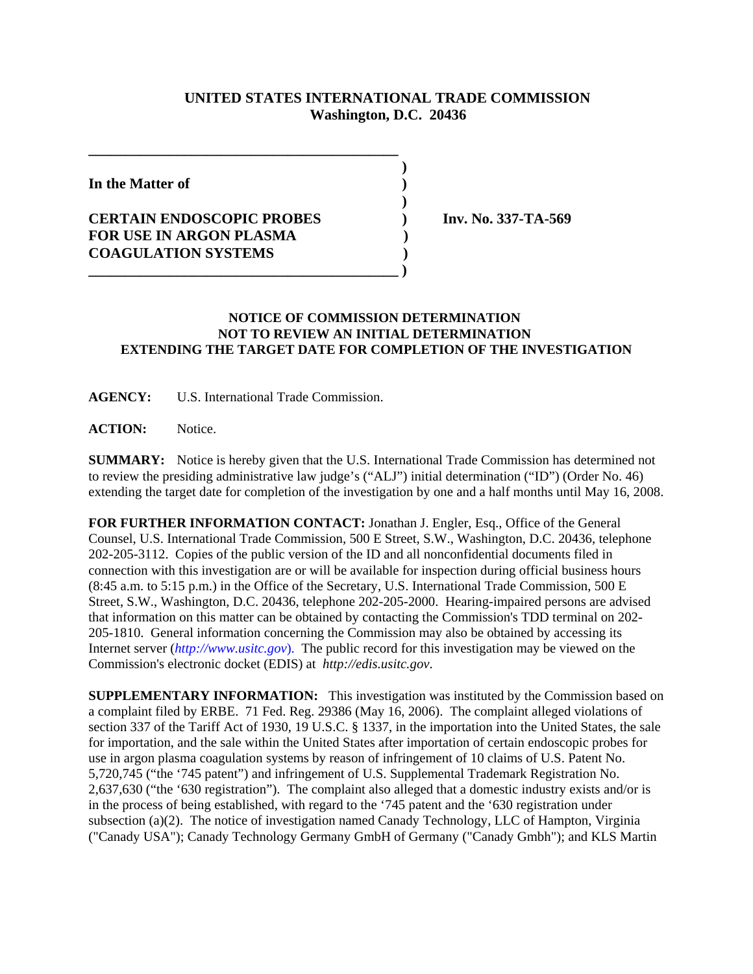## **UNITED STATES INTERNATIONAL TRADE COMMISSION Washington, D.C. 20436**

 **)**

 **)**

**In the Matter of )**

## **CERTAIN ENDOSCOPIC PROBES ) Inv. No. 337-TA-569 FOR USE IN ARGON PLASMA ) COAGULATION SYSTEMS )**

**\_\_\_\_\_\_\_\_\_\_\_\_\_\_\_\_\_\_\_\_\_\_\_\_\_\_\_\_\_\_\_\_\_\_\_\_\_\_\_\_\_\_**

**\_\_\_\_\_\_\_\_\_\_\_\_\_\_\_\_\_\_\_\_\_\_\_\_\_\_\_\_\_\_\_\_\_\_\_\_\_\_\_\_\_\_ )**

## **NOTICE OF COMMISSION DETERMINATION NOT TO REVIEW AN INITIAL DETERMINATION EXTENDING THE TARGET DATE FOR COMPLETION OF THE INVESTIGATION**

**AGENCY:** U.S. International Trade Commission.

**ACTION:** Notice.

**SUMMARY:** Notice is hereby given that the U.S. International Trade Commission has determined not to review the presiding administrative law judge's ("ALJ") initial determination ("ID") (Order No. 46) extending the target date for completion of the investigation by one and a half months until May 16, 2008.

**FOR FURTHER INFORMATION CONTACT:** Jonathan J. Engler, Esq., Office of the General Counsel, U.S. International Trade Commission, 500 E Street, S.W., Washington, D.C. 20436, telephone 202-205-3112. Copies of the public version of the ID and all nonconfidential documents filed in connection with this investigation are or will be available for inspection during official business hours (8:45 a.m. to 5:15 p.m.) in the Office of the Secretary, U.S. International Trade Commission, 500 E Street, S.W., Washington, D.C. 20436, telephone 202-205-2000. Hearing-impaired persons are advised that information on this matter can be obtained by contacting the Commission's TDD terminal on 202- 205-1810. General information concerning the Commission may also be obtained by accessing its Internet server (*http://www.usitc.gov*). The public record for this investigation may be viewed on the Commission's electronic docket (EDIS) at *http://edis.usitc.gov*.

**SUPPLEMENTARY INFORMATION:** This investigation was instituted by the Commission based on a complaint filed by ERBE. 71 Fed. Reg. 29386 (May 16, 2006). The complaint alleged violations of section 337 of the Tariff Act of 1930, 19 U.S.C. § 1337, in the importation into the United States, the sale for importation, and the sale within the United States after importation of certain endoscopic probes for use in argon plasma coagulation systems by reason of infringement of 10 claims of U.S. Patent No. 5,720,745 ("the '745 patent") and infringement of U.S. Supplemental Trademark Registration No. 2,637,630 ("the '630 registration"). The complaint also alleged that a domestic industry exists and/or is in the process of being established, with regard to the '745 patent and the '630 registration under subsection (a)(2). The notice of investigation named Canady Technology, LLC of Hampton, Virginia ("Canady USA"); Canady Technology Germany GmbH of Germany ("Canady Gmbh"); and KLS Martin